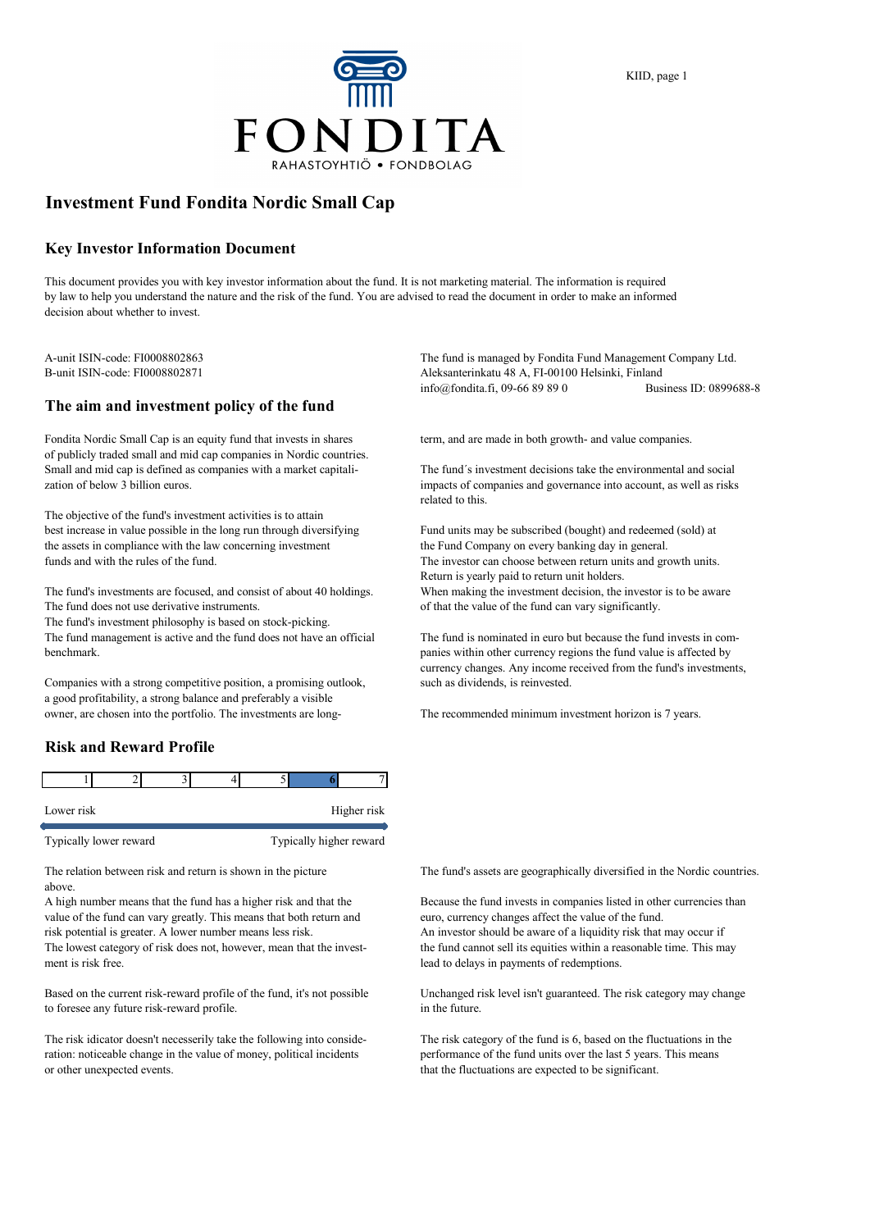

## **Investment Fund Fondita Nordic Small Cap**

#### **Key Investor Information Document**

This document provides you with key investor information about the fund. It is not marketing material. The information is required by law to help you understand the nature and the risk of the fund. You are advised to read the document in order to make an informed decision about whether to invest.

#### **The aim and investment policy of the fund**

Fondita Nordic Small Cap is an equity fund that invests in shares term, and are made in both growth- and value companies. of publicly traded small and mid cap companies in Nordic countries. Small and mid cap is defined as companies with a market capitali- The fund´s investment decisions take the environmental and social zation of below 3 billion euros. impacts of companies and governance into account, as well as risks

The objective of the fund's investment activities is to attain best increase in value possible in the long run through diversifying Fund units may be subscribed (bought) and redeemed (sold) at the assets in compliance with the law concerning investment the Fund Company on every banking day in general. funds and with the rules of the fund. The investor can choose between return units and growth units.

The fund's investments are focused, and consist of about 40 holdings. When making the investment decision, the investor is to be aware The fund does not use derivative instruments.  $\qquad \qquad$  of that the value of the fund can vary significantly.

The fund's investment philosophy is based on stock-picking. The fund management is active and the fund does not have an official The fund is nominated in euro but because the fund invests in combenchmark. panies within other currency regions the fund value is affected by

Companies with a strong competitive position, a promising outlook, such as dividends, is reinvested. a good profitability, a strong balance and preferably a visible owner, are chosen into the portfolio. The investments are long- The recommended minimum investment horizon is 7 years.

#### **Risk and Reward Profile**

| Lower risk             | Higher risk |  |                         |  |
|------------------------|-------------|--|-------------------------|--|
| Typically lower reward |             |  | Typically higher reward |  |

above.

value of the fund can vary greatly. This means that both return and euro, currency changes affect the value of the fund. risk potential is greater. A lower number means less risk. An investor should be aware of a liquidity risk that may occur if The lowest category of risk does not, however, mean that the invest- the fund cannot sell its equities within a reasonable time. This may ment is risk free. lead to delays in payments of redemptions.

to foresee any future risk-reward profile.  $\qquad \qquad$  in the future.

ration: noticeable change in the value of money, political incidents performance of the fund units over the last 5 years. This means or other unexpected events. that the fluctuations are expected to be significant.

A-unit ISIN-code: FI0008802863 The fund is managed by Fondita Fund Management Company Ltd. B-unit ISIN-code: FI0008802871 Aleksanterinkatu 48 A, FI-00100 Helsinki, Finland info@fondita.fi, 09-66 89 89 0 Business ID: 0899688-8

related to this.

Return is yearly paid to return unit holders.

currency changes. Any income received from the fund's investments,

The relation between risk and return is shown in the picture The fund's assets are geographically diversified in the Nordic countries.

A high number means that the fund has a higher risk and that the Because the fund invests in companies listed in other currencies than

Based on the current risk-reward profile of the fund, it's not possible Unchanged risk level isn't guaranteed. The risk category may change

The risk idicator doesn't necesserily take the following into conside- The risk category of the fund is 6, based on the fluctuations in the